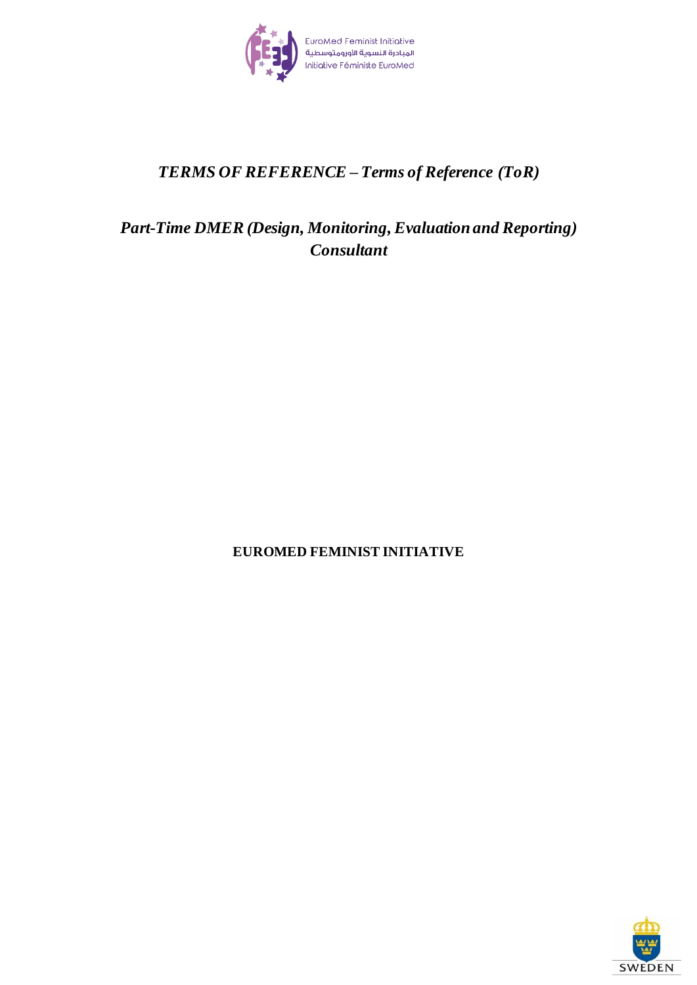

# *TERMS OF REFERENCE – Terms of Reference (ToR)*

# *Part-Time DMER (Design, Monitoring, Evaluationand Reporting) Consultant*

## **EUROMED FEMINIST INITIATIVE**

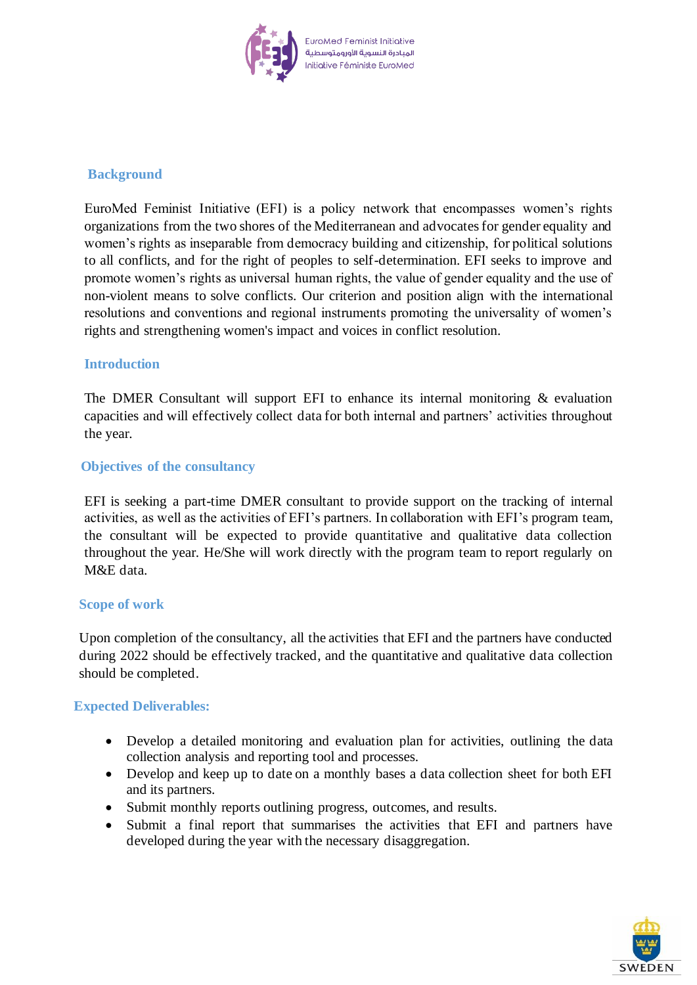

## **Background**

EuroMed Feminist Initiative (EFI) is a policy network that encompasses women's rights organizations from the two shores of the Mediterranean and advocates for gender equality and women's rights as inseparable from democracy building and citizenship, for political solutions to all conflicts, and for the right of peoples to self-determination. EFI seeks to improve and promote women's rights as universal human rights, the value of gender equality and the use of non-violent means to solve conflicts. Our criterion and position align with the international resolutions and conventions and regional instruments promoting the universality of women's rights and strengthening women's impact and voices in conflict resolution.

### **Introduction**

The DMER Consultant will support EFI to enhance its internal monitoring  $\&$  evaluation capacities and will effectively collect data for both internal and partners' activities throughout the year.

### **Objectives of the consultancy**

EFI is seeking a part-time DMER consultant to provide support on the tracking of internal activities, as well as the activities of EFI's partners. In collaboration with EFI's program team, the consultant will be expected to provide quantitative and qualitative data collection throughout the year. He/She will work directly with the program team to report regularly on M&E data.

#### **Scope of work**

Upon completion of the consultancy, all the activities that EFI and the partners have conducted during 2022 should be effectively tracked, and the quantitative and qualitative data collection should be completed.

#### **Expected Deliverables:**

- Develop a detailed monitoring and evaluation plan for activities, outlining the data collection analysis and reporting tool and processes.
- Develop and keep up to date on a monthly bases a data collection sheet for both EFI and its partners.
- Submit monthly reports outlining progress, outcomes, and results.
- Submit a final report that summarises the activities that EFI and partners have developed during the year with the necessary disaggregation.

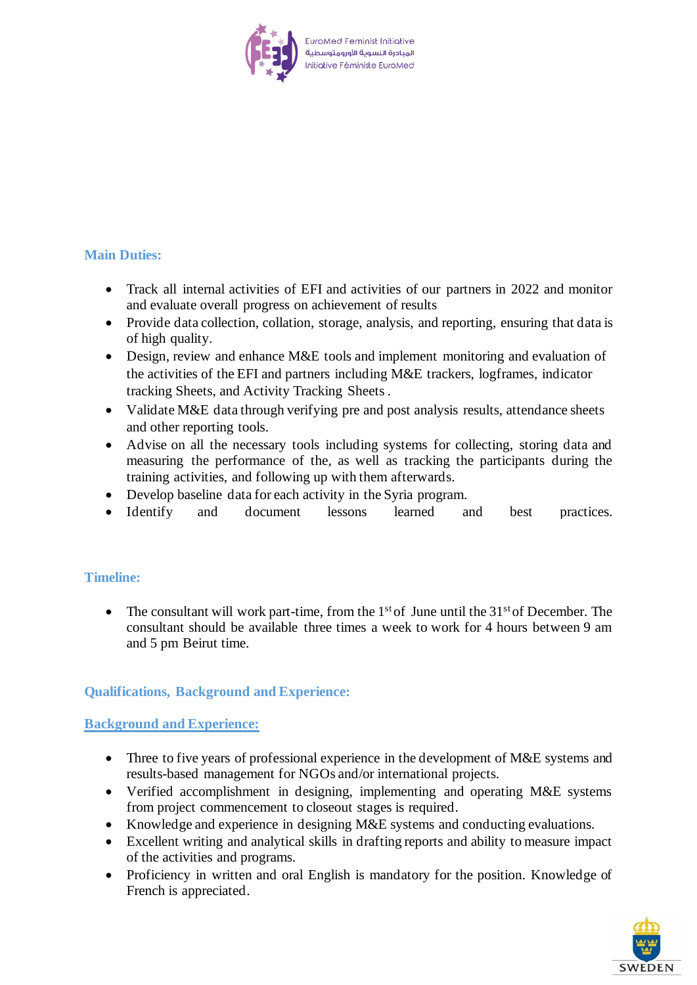

## **Main Duties:**

- Track all internal activities of EFI and activities of our partners in 2022 and monitor and evaluate overall progress on achievement of results
- Provide data collection, collation, storage, analysis, and reporting, ensuring that data is of high quality.
- Design, review and enhance M&E tools and implement monitoring and evaluation of the activities of the EFI and partners including M&E trackers, logframes, indicator tracking Sheets, and Activity Tracking Sheets .
- Validate M&E data through verifying pre and post analysis results, attendance sheets and other reporting tools.
- Advise on all the necessary tools including systems for collecting, storing data and measuring the performance of the, as well as tracking the participants during the training activities, and following up with them afterwards.
- Develop baseline data for each activity in the Syria program.
- Identify and document lessons learned and best practices.

## **Timeline:**

• The consultant will work part-time, from the  $1<sup>st</sup>$  of June until the  $31<sup>st</sup>$  of December. The consultant should be available three times a week to work for 4 hours between 9 am and 5 pm Beirut time.

## **Qualifications, Background and Experience:**

#### **Background and Experience:**

- Three to five years of professional experience in the development of M&E systems and results-based management for NGOs and/or international projects.
- Verified accomplishment in designing, implementing and operating M&E systems from project commencement to closeout stages is required.
- Knowledge and experience in designing M&E systems and conducting evaluations.
- Excellent writing and analytical skills in drafting reports and ability to measure impact of the activities and programs.
- Proficiency in written and oral English is mandatory for the position. Knowledge of French is appreciated.